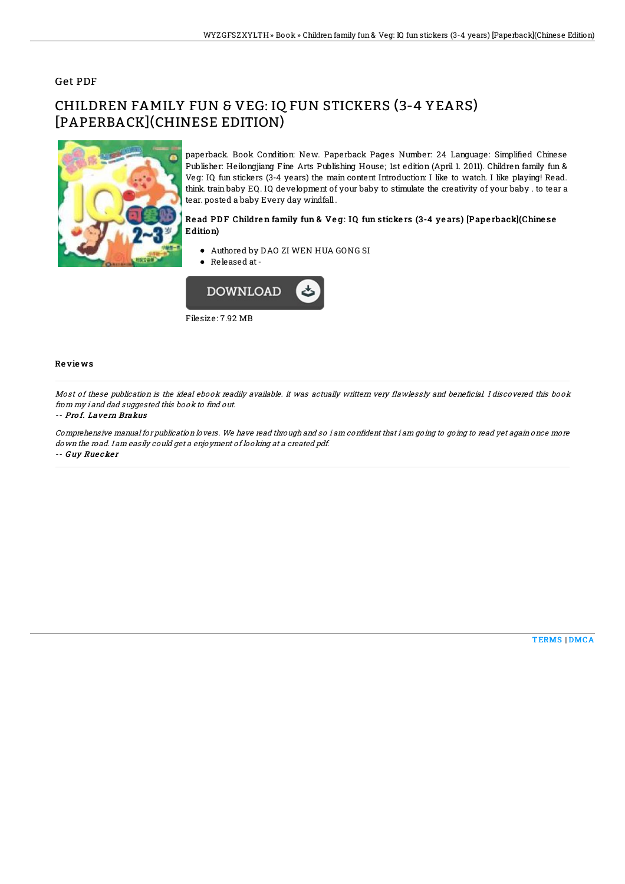## Get PDF

# CHILDREN FAMILY FUN & VEG: IQ FUN STICKERS (3-4 YEARS) [PAPERBACK](CHINESE EDITION)



paperback. Book Condition: New. Paperback Pages Number: 24 Language: Simplified Chinese Publisher: Heilongjiang Fine Arts Publishing House; 1st edition (April 1. 2011). Children family fun & Veg: IQ fun stickers (3-4 years) the main content Introduction: I like to watch. I like playing! Read. think. train baby EQ. IQ development of your baby to stimulate the creativity of your baby . to tear a tear. posted a baby Every day windfall.

### Read PDF Children family fun & Veg: IQ fun stickers (3-4 years) [Paperback](Chinese Edition)

- Authored by DAO ZI WEN HUA GONG SI
- Released at-



Filesize: 7.92 MB

#### Re vie ws

Most of these publication is the ideal ebook readily available. it was actually writtern very flawlessly and beneficial. I discovered this book from my i and dad suggested this book to find out.

#### -- Pro f. Lave rn Brakus

Comprehensive manual for publication lovers. We have read through and so i am confident that i am going to going to read yet again once more down the road. I am easily could get <sup>a</sup> enjoyment of looking at <sup>a</sup> created pdf. -- G uy Rue cke <sup>r</sup>